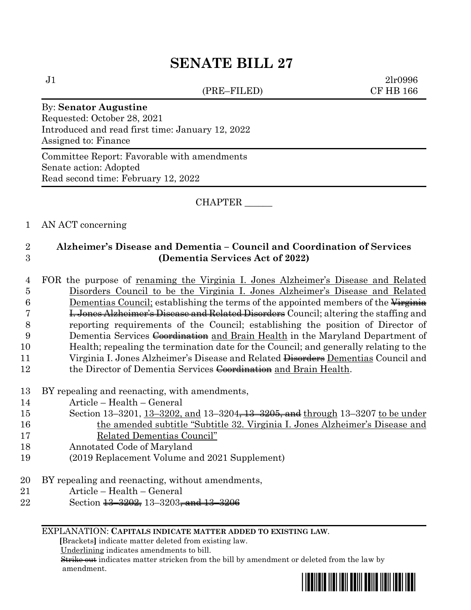# **SENATE BILL 27**

(PRE–FILED) CF HB 166

 $J1$  2lr0996

#### By: **Senator Augustine**

Requested: October 28, 2021 Introduced and read first time: January 12, 2022 Assigned to: Finance

Committee Report: Favorable with amendments Senate action: Adopted Read second time: February 12, 2022

CHAPTER \_\_\_\_\_\_

#### 1 AN ACT concerning

# 2 **Alzheimer's Disease and Dementia – Council and Coordination of Services**  3 **(Dementia Services Act of 2022)**

- 4 FOR the purpose of renaming the Virginia I. Jones Alzheimer's Disease and Related 5 Disorders Council to be the Virginia I. Jones Alzheimer's Disease and Related 6 Dementias Council; establishing the terms of the appointed members of the  $\overline{V_{\text{irgrinia}}}$ 7 I. Jones Alzheimer's Disease and Related Disorders Council; altering the staffing and 8 reporting requirements of the Council; establishing the position of Director of 9 Dementia Services Coordination and Brain Health in the Maryland Department of 10 Health; repealing the termination date for the Council; and generally relating to the 11 Virginia I. Jones Alzheimer's Disease and Related <del>Disorders</del> Dementias Council and 12 the Director of Dementia Services Coordination and Brain Health.
- 13 BY repealing and reenacting, with amendments,
- 14 Article Health General
- 15 Section 13-3201, 13-3202, and 13-3204, 13-3205, and through 13-3207 to be under 16 the amended subtitle "Subtitle 32. Virginia I. Jones Alzheimer's Disease and 17 Related Dementias Council"
- 18 Annotated Code of Maryland
- 19 (2019 Replacement Volume and 2021 Supplement)
- 20 BY repealing and reenacting, without amendments,
- 21 Article Health General
- 22 Section <del>13 3202,</del> 13 3203<del>, and 13 3206</del>

#### EXPLANATION: **CAPITALS INDICATE MATTER ADDED TO EXISTING LAW**.

 **[**Brackets**]** indicate matter deleted from existing law.

Underlining indicates amendments to bill.

 Strike out indicates matter stricken from the bill by amendment or deleted from the law by amendment.

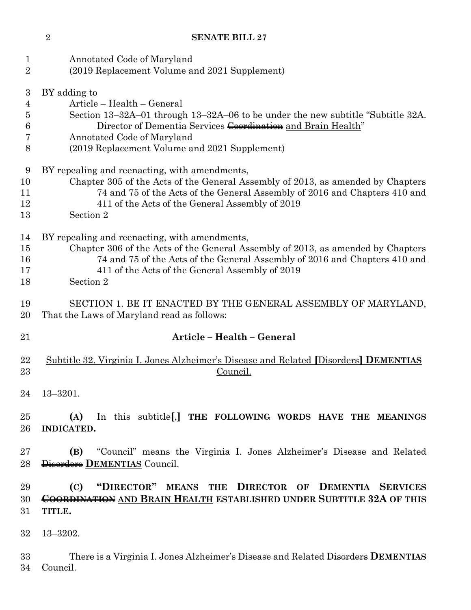### **SENATE BILL 27**

| $\mathbf{1}$<br>$\overline{2}$          | Annotated Code of Maryland<br>(2019 Replacement Volume and 2021 Supplement)                                                                                                                                                                                                    |  |  |  |  |
|-----------------------------------------|--------------------------------------------------------------------------------------------------------------------------------------------------------------------------------------------------------------------------------------------------------------------------------|--|--|--|--|
| 3<br>$\overline{4}$<br>5<br>6<br>7<br>8 | BY adding to<br>Article - Health - General<br>Section 13–32A–01 through 13–32A–06 to be under the new subtitle "Subtitle 32A.<br>Director of Dementia Services Coordination and Brain Health"<br>Annotated Code of Maryland<br>(2019 Replacement Volume and 2021 Supplement)   |  |  |  |  |
| 9<br>10<br>11<br>12<br>13               | BY repealing and reenacting, with amendments,<br>Chapter 305 of the Acts of the General Assembly of 2013, as amended by Chapters<br>74 and 75 of the Acts of the General Assembly of 2016 and Chapters 410 and<br>411 of the Acts of the General Assembly of 2019<br>Section 2 |  |  |  |  |
| 14<br>15<br>16<br>17<br>18              | BY repealing and reenacting, with amendments,<br>Chapter 306 of the Acts of the General Assembly of 2013, as amended by Chapters<br>74 and 75 of the Acts of the General Assembly of 2016 and Chapters 410 and<br>411 of the Acts of the General Assembly of 2019<br>Section 2 |  |  |  |  |
| 19<br>20                                | SECTION 1. BE IT ENACTED BY THE GENERAL ASSEMBLY OF MARYLAND,<br>That the Laws of Maryland read as follows:                                                                                                                                                                    |  |  |  |  |
| 21                                      | Article - Health - General                                                                                                                                                                                                                                                     |  |  |  |  |
| 22<br>23                                | Subtitle 32. Virginia I. Jones Alzheimer's Disease and Related [Disorders] DEMENTIAS<br>Council.                                                                                                                                                                               |  |  |  |  |
| 24                                      | $13 - 3201.$                                                                                                                                                                                                                                                                   |  |  |  |  |
| 25<br>26                                | In this subtitle [,] THE FOLLOWING WORDS HAVE THE MEANINGS<br>(A)<br>INDICATED.                                                                                                                                                                                                |  |  |  |  |
| 27<br>28                                | "Council" means the Virginia I. Jones Alzheimer's Disease and Related<br>(B)<br>Disorders DEMENTIAS Council.                                                                                                                                                                   |  |  |  |  |
| 29<br>30<br>31                          | "DIRECTOR" MEANS THE<br>DIRECTOR OF DEMENTIA SERVICES<br>(C)<br><b>COORDINATION AND BRAIN HEALTH ESTABLISHED UNDER SUBTITLE 32A OF THIS</b><br>TITLE.                                                                                                                          |  |  |  |  |
| 32                                      | $13 - 3202.$                                                                                                                                                                                                                                                                   |  |  |  |  |
| 33                                      | There is a Virginia I. Jones Alzheimer's Disease and Related Disorders DEMENTIAS                                                                                                                                                                                               |  |  |  |  |

Council.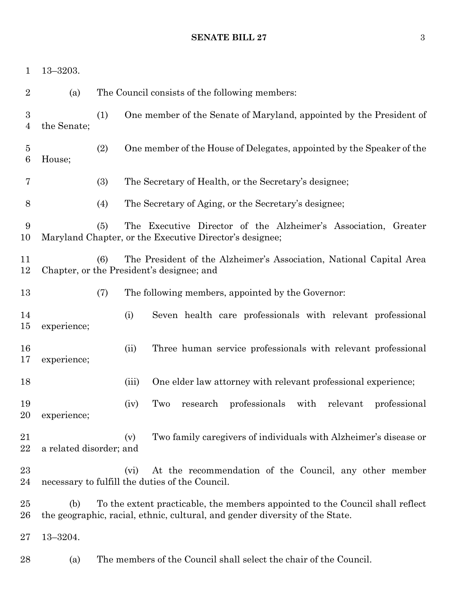### **SENATE BILL 27** 3

| $\mathbf{1}$        | $13 - 3203.$            |     |       |                                                                                                                                                               |
|---------------------|-------------------------|-----|-------|---------------------------------------------------------------------------------------------------------------------------------------------------------------|
| $\overline{2}$      | (a)                     |     |       | The Council consists of the following members:                                                                                                                |
| 3<br>$\overline{4}$ | the Senate;             | (1) |       | One member of the Senate of Maryland, appointed by the President of                                                                                           |
| $\overline{5}$<br>6 | House;                  | (2) |       | One member of the House of Delegates, appointed by the Speaker of the                                                                                         |
| 7                   |                         | (3) |       | The Secretary of Health, or the Secretary's designee;                                                                                                         |
| 8                   |                         | (4) |       | The Secretary of Aging, or the Secretary's designee;                                                                                                          |
| 9<br>10             |                         | (5) |       | The Executive Director of the Alzheimer's Association, Greater<br>Maryland Chapter, or the Executive Director's designee;                                     |
| 11<br>12            |                         | (6) |       | The President of the Alzheimer's Association, National Capital Area<br>Chapter, or the President's designee; and                                              |
| 13                  |                         | (7) |       | The following members, appointed by the Governor:                                                                                                             |
| 14<br>15            | experience;             |     | (i)   | Seven health care professionals with relevant professional                                                                                                    |
| 16<br>17            | experience;             |     | (ii)  | Three human service professionals with relevant professional                                                                                                  |
| 18                  |                         |     | (iii) | One elder law attorney with relevant professional experience;                                                                                                 |
| 19<br>20            | experience;             |     | (iv)  | Two<br>research professionals with relevant<br>professional                                                                                                   |
| 21<br>22            | a related disorder; and |     | (v)   | Two family caregivers of individuals with Alzheimer's disease or                                                                                              |
| 23<br>24            |                         |     | (vi)  | At the recommendation of the Council, any other member<br>necessary to fulfill the duties of the Council.                                                     |
| $25\,$<br>$26\,$    | (b)                     |     |       | To the extent practicable, the members appointed to the Council shall reflect<br>the geographic, racial, ethnic, cultural, and gender diversity of the State. |
| $27\,$              | 13-3204.                |     |       |                                                                                                                                                               |
| 28                  | (a)                     |     |       | The members of the Council shall select the chair of the Council.                                                                                             |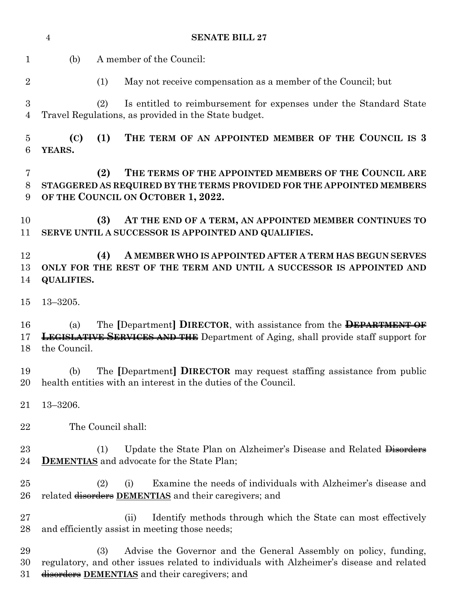|                     | <b>SENATE BILL 27</b><br>$\overline{4}$ |                                                                                                                                                                                                                      |  |  |  |
|---------------------|-----------------------------------------|----------------------------------------------------------------------------------------------------------------------------------------------------------------------------------------------------------------------|--|--|--|
| $\mathbf{1}$        | (b)                                     | A member of the Council:                                                                                                                                                                                             |  |  |  |
| $\overline{2}$      |                                         | May not receive compensation as a member of the Council; but<br>(1)                                                                                                                                                  |  |  |  |
| 3<br>4              |                                         | (2)<br>Is entitled to reimbursement for expenses under the Standard State<br>Travel Regulations, as provided in the State budget.                                                                                    |  |  |  |
| $\overline{5}$<br>6 | (C)<br>YEARS.                           | (1)<br>THE TERM OF AN APPOINTED MEMBER OF THE COUNCIL IS 3                                                                                                                                                           |  |  |  |
| 7<br>8<br>9         |                                         | THE TERMS OF THE APPOINTED MEMBERS OF THE COUNCIL ARE<br>(2)<br>STAGGERED AS REQUIRED BY THE TERMS PROVIDED FOR THE APPOINTED MEMBERS<br>OF THE COUNCIL ON OCTOBER 1, 2022.                                          |  |  |  |
| 10<br>11            |                                         | (3)<br>AT THE END OF A TERM, AN APPOINTED MEMBER CONTINUES TO<br>SERVE UNTIL A SUCCESSOR IS APPOINTED AND QUALIFIES.                                                                                                 |  |  |  |
| 12<br>13<br>14      | <b>QUALIFIES.</b>                       | (4)<br>A MEMBER WHO IS APPOINTED AFTER A TERM HAS BEGUN SERVES<br>ONLY FOR THE REST OF THE TERM AND UNTIL A SUCCESSOR IS APPOINTED AND                                                                               |  |  |  |
| 15                  | $13 - 3205.$                            |                                                                                                                                                                                                                      |  |  |  |
| 16<br>17<br>18      | (a)<br>the Council.                     | The [Department] DIRECTOR, with assistance from the DEPARTMENT OF<br><b>LEGISLATIVE SERVICES AND THE</b> Department of Aging, shall provide staff support for                                                        |  |  |  |
| 19<br>20            | (b)                                     | The [Department] DIRECTOR may request staffing assistance from public<br>health entities with an interest in the duties of the Council.                                                                              |  |  |  |
| 21                  | $13 - 3206.$                            |                                                                                                                                                                                                                      |  |  |  |
| 22                  |                                         | The Council shall:                                                                                                                                                                                                   |  |  |  |
| $23\,$<br>24        |                                         | Update the State Plan on Alzheimer's Disease and Related Disorders<br>(1)<br><b>DEMENTIAS</b> and advocate for the State Plan;                                                                                       |  |  |  |
| 25<br>26            |                                         | Examine the needs of individuals with Alzheimer's disease and<br>(2)<br>(i)<br>related disorders DEMENTIAS and their caregivers; and                                                                                 |  |  |  |
| $27\,$<br>28        |                                         | Identify methods through which the State can most effectively<br>(ii)<br>and efficiently assist in meeting those needs;                                                                                              |  |  |  |
| 29<br>30<br>31      |                                         | Advise the Governor and the General Assembly on policy, funding,<br>(3)<br>regulatory, and other issues related to individuals with Alzheimer's disease and related<br>disorders DEMENTIAS and their caregivers; and |  |  |  |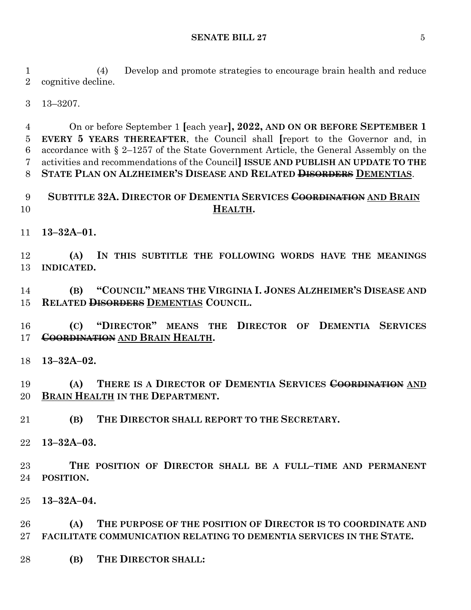#### **SENATE BILL 27** 5

 (4) Develop and promote strategies to encourage brain health and reduce cognitive decline.

13–3207.

 On or before September 1 **[**each year**], 2022, AND ON OR BEFORE SEPTEMBER 1 EVERY 5 YEARS THEREAFTER**, the Council shall **[**report to the Governor and, in accordance with § 2–1257 of the State Government Article, the General Assembly on the activities and recommendations of the Council**] ISSUE AND PUBLISH AN UPDATE TO THE STATE PLAN ON ALZHEIMER'S DISEASE AND RELATED DISORDERS DEMENTIAS**.

# **SUBTITLE 32A. DIRECTOR OF DEMENTIA SERVICES COORDINATION AND BRAIN HEALTH.**

**13–32A–01.**

 **(A) IN THIS SUBTITLE THE FOLLOWING WORDS HAVE THE MEANINGS INDICATED.**

 **(B) "COUNCIL" MEANS THE VIRGINIA I. JONES ALZHEIMER'S DISEASE AND RELATED DISORDERS DEMENTIAS COUNCIL.**

 **(C) "DIRECTOR" MEANS THE DIRECTOR OF DEMENTIA SERVICES COORDINATION AND BRAIN HEALTH.**

**13–32A–02.**

 **(A) THERE IS A DIRECTOR OF DEMENTIA SERVICES COORDINATION AND BRAIN HEALTH IN THE DEPARTMENT.**

**(B) THE DIRECTOR SHALL REPORT TO THE SECRETARY.**

**13–32A–03.**

 **THE POSITION OF DIRECTOR SHALL BE A FULL–TIME AND PERMANENT POSITION.**

**13–32A–04.**

 **(A) THE PURPOSE OF THE POSITION OF DIRECTOR IS TO COORDINATE AND FACILITATE COMMUNICATION RELATING TO DEMENTIA SERVICES IN THE STATE.**

**(B) THE DIRECTOR SHALL:**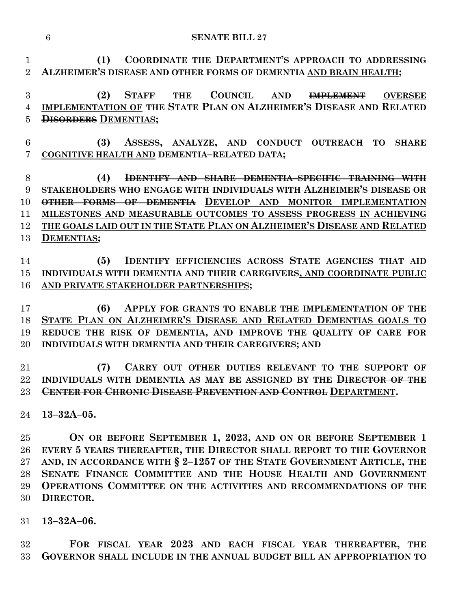| <b>SENATE BILL 27</b> |
|-----------------------|
|                       |

 **(1) COORDINATE THE DEPARTMENT'S APPROACH TO ADDRESSING ALZHEIMER'S DISEASE AND OTHER FORMS OF DEMENTIA AND BRAIN HEALTH;**

# **(2) STAFF THE COUNCIL AND IMPLEMENT OVERSEE IMPLEMENTATION OF THE STATE PLAN ON ALZHEIMER'S DISEASE AND RELATED DISORDERS DEMENTIAS;**

 **(3) ASSESS, ANALYZE, AND CONDUCT OUTREACH TO SHARE COGNITIVE HEALTH AND DEMENTIA–RELATED DATA;**

 **(4) IDENTIFY AND SHARE DEMENTIA–SPECIFIC TRAINING WITH STAKEHOLDERS WHO ENGAGE WITH INDIVIDUALS WITH ALZHEIMER'S DISEASE OR OTHER FORMS OF DEMENTIA DEVELOP AND MONITOR IMPLEMENTATION MILESTONES AND MEASURABLE OUTCOMES TO ASSESS PROGRESS IN ACHIEVING THE GOALS LAID OUT IN THE STATE PLAN ON ALZHEIMER'S DISEASE AND RELATED DEMENTIAS;**

 **(5) IDENTIFY EFFICIENCIES ACROSS STATE AGENCIES THAT AID INDIVIDUALS WITH DEMENTIA AND THEIR CAREGIVERS, AND COORDINATE PUBLIC AND PRIVATE STAKEHOLDER PARTNERSHIPS;**

 **(6) APPLY FOR GRANTS TO ENABLE THE IMPLEMENTATION OF THE STATE PLAN ON ALZHEIMER'S DISEASE AND RELATED DEMENTIAS GOALS TO REDUCE THE RISK OF DEMENTIA, AND IMPROVE THE QUALITY OF CARE FOR INDIVIDUALS WITH DEMENTIA AND THEIR CAREGIVERS; AND**

 **(7) CARRY OUT OTHER DUTIES RELEVANT TO THE SUPPORT OF INDIVIDUALS WITH DEMENTIA AS MAY BE ASSIGNED BY THE DIRECTOR OF THE CENTER FOR CHRONIC DISEASE PREVENTION AND CONTROL DEPARTMENT.**

**13–32A–05.**

 **ON OR BEFORE SEPTEMBER 1, 2023, AND ON OR BEFORE SEPTEMBER 1 EVERY 5 YEARS THEREAFTER, THE DIRECTOR SHALL REPORT TO THE GOVERNOR AND, IN ACCORDANCE WITH § 2–1257 OF THE STATE GOVERNMENT ARTICLE, THE SENATE FINANCE COMMITTEE AND THE HOUSE HEALTH AND GOVERNMENT OPERATIONS COMMITTEE ON THE ACTIVITIES AND RECOMMENDATIONS OF THE DIRECTOR.**

**13–32A–06.**

 **FOR FISCAL YEAR 2023 AND EACH FISCAL YEAR THEREAFTER, THE GOVERNOR SHALL INCLUDE IN THE ANNUAL BUDGET BILL AN APPROPRIATION TO**